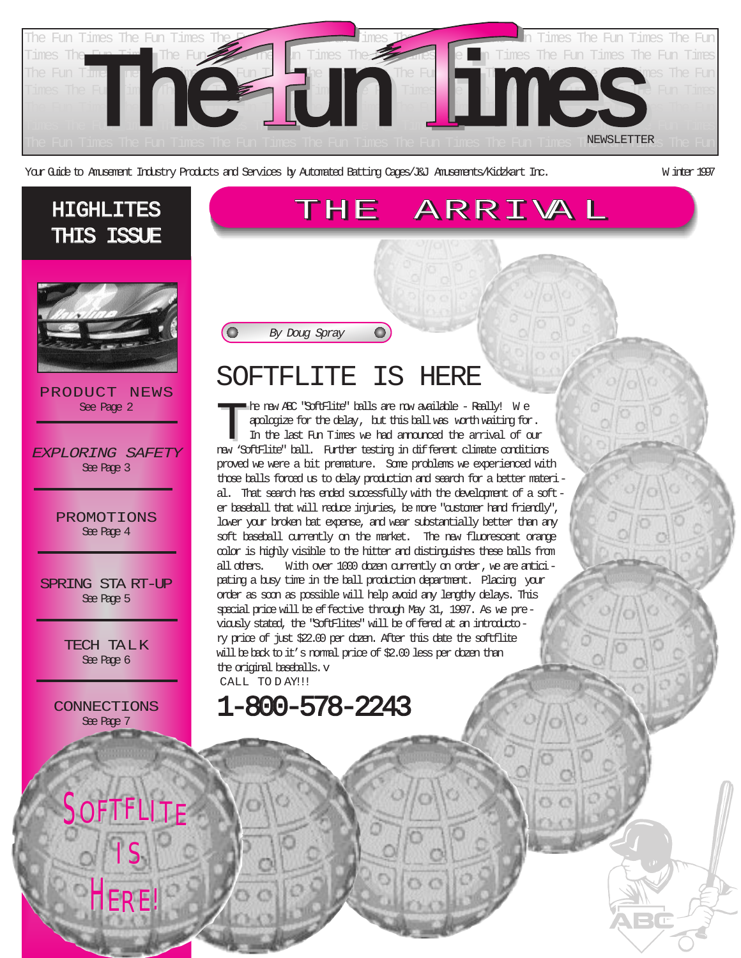

THE ARRIVA L

Your Guide to Amusement Industry Products and Services by Automated Batting Cages/J&J Amusements/Kidzkart Inc. W inter 1997

#### HIGHLITES THIS ISSUE



PRODUCT NEWS See Page 2

EXPLORING SAFETY See Page 3

> PROMOTIONS See Page 4

SPRING STA RT-UP See Page 5

> TECH TALK See Page 6

CONNECTIONS See Page 7

SOFTFLITE

I S

H ER E!

# SOFTFLITE IS HERE

 $\mathbf{O})$ 

By Doug Spray

**O** 

The new ABC "SoftFlite" balls are now available - Really! W e apologize for the delay, but this ball was worth waiting for. In the last Fun Times we had announced the arrival of our new 'SoftFlite" ball. Further testing in different climate conditions proved we were a bit premature. Some problems we experienced with those balls forced us to delay production and search for a better material. That search has ended successfully with the development of a softer baseball that will reduce injuries, be more "customer hand friendly", lower your broken bat expense, and wear substantially better than any soft baseball currently on the market. The new fluorescent orange color is highly visible to the hitter and distinguishes these balls from all others. With over 1000 dozen currently on order, we are anticipating a busy time in the ball production department. Placing your order as soon as possible will help avoid any lengthy delays. This special price will be effective through May 31, 1997. As we previously stated, the "SoftFlites" will be of fered at an introductory price of just \$22.00 per dozen. After this date the softflite will be back to it's normal price of \$2.00 less per dozen than the original baseballs.v CALL TO DAY!!!

1-800-578-2243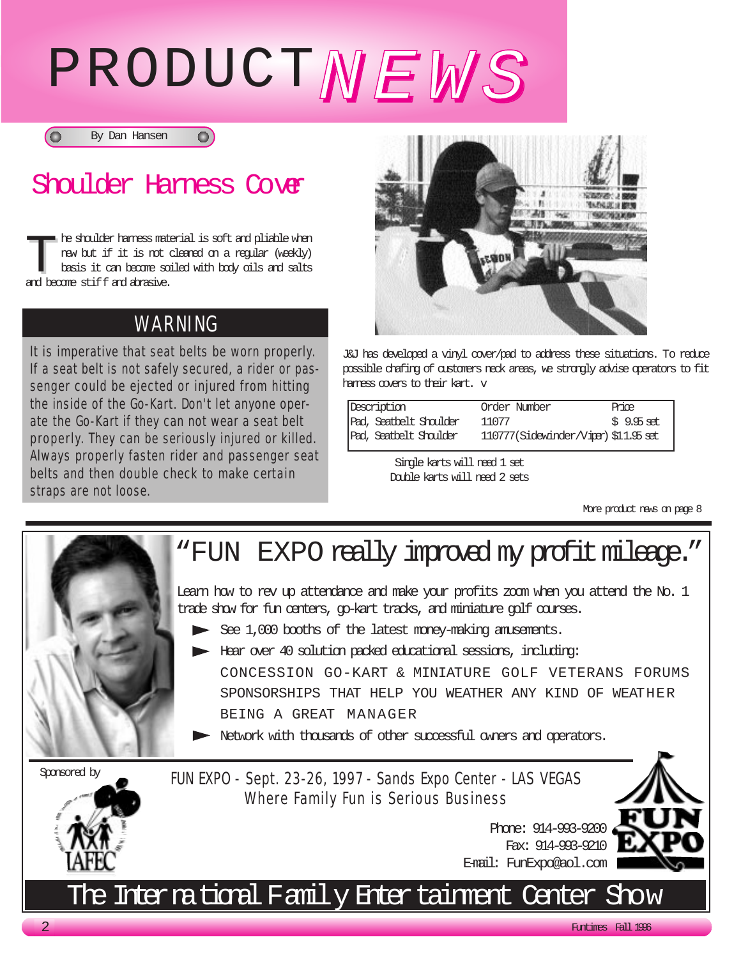# PRODUCTNEWS



**O** 

### Shoulder Harness Cover

The shoulder harness material is soft and pliable when<br>the show but if it is not cleared on a regular (weekly)<br>basis it can become soiled with body oils and salts<br>and hence stiff and abasive new but if it is not cleaned on a regular (weekly) basis it can become soiled with body oils and salts and become stiff and abrasive.

#### WARNING

It is imperative that seat belts be worn properly. If a seat belt is not safely secured, a rider or passenger could be ejected or injured from hitting the inside of the Go-Kart. Don't let anyone operate the Go-Kart if they can not wear a seat belt properly. They can be seriously injured or killed. Always properly fasten rider and passenger seat belts and then double check to make certain straps are not loose.



J&J has developed a vinyl cover/pad to address these situations. To reduce possible chafing of customers neck areas, we strongly advise operators to fit harness covers to their kart. v

| Description            | Order Number                          | Price       |
|------------------------|---------------------------------------|-------------|
| Pad, Seatbelt Shoulder | 11077                                 | $$9.95$ set |
| Pad, Seatbelt Shoulder | 110777 (Sidewinder/Viper) \$11.95 set |             |

Single karts will need 1 set Double karts will need 2 sets

More product news on page 8



# "FUN EXPO really improved my profit mileage."

Learn how to rev up attendance and make your profits zoom when you attend the No. 1 trade show for fun centers, go-kart tracks, and miniature golf courses.

- See 1,000 booths of the latest money-making anusements.
- Hear over 40 solution packed educational sessions, including:

CONCESSION GO-KART & MINIATURE GOLF VETERANS FORUMS SPONSORSHIPS THAT HELP YOU WEATHER ANY KIND OF WEATHER BEING A GREAT MANAGER

Network with thousands of other successful owners and operators.

Sponsored by

FUN EXPO - Sept. 23-26, 1997 - Sands Expo Center - LAS VEGAS Where Family Fun is Serious Business



## The International Family Entertainment Center Show

2 Funtimes Fall 1996

Phone: 914-993-9200 Fax: 914-993-9210

E-mail: FunExpo@aol.com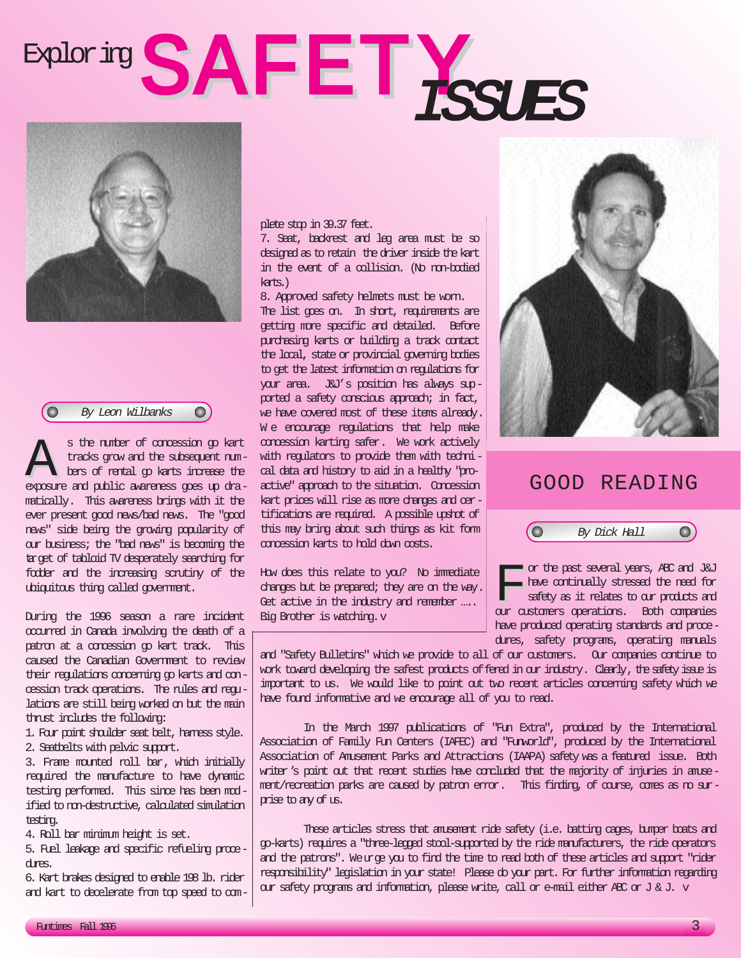# Exploring SAFETY SSUES



 $\bullet$ a By Leon Wilbanks

s the number of concession go kart<br>tracks grow and the subsequent num-<br>bers of tental go karts increase the<br>exposure and public averages ones up dratracks grow and the subsequent numbers of rental go karts increase the exposure and public awareness goes up dramatically. This awareness brings with it the ever present good news/bad news. The "good news" side being the growing popularity of our business; the "bad news" is becoming the target of tabloid TV desperately searching for fodder and the increasing scrutiny of the ubiquitous thing called government.

During the 1996 season a rare incident occurred in Canada involving the death of a patron at a concession go kart track. This caused the Canadian Government to review their regulations concerning go karts and concession track operations. The rules and regulations are still being worked on but the main thrust includes the following:

- 1. Four point shoulder seat belt, harness style.
- 2. Seatbelts with pelvic support.

3. Frame mounted roll bar, which initially required the manufacture to have dynamic testing performed. This since has been modified to non-destructive, calculated simulation testing.

4. Roll bar minimum height is set.

5. Fuel leakage and specific refueling procedures.

6. Kart brakes designed to enable 198 lb. rider and kart to decelerate from top speed to complete stop in 39.37 feet.

7. Seat, backrest and leg area must be so designed as to retain the driver inside the kart in the event of a collision. (No non-bodied karts.)

8. Approved safety helmets must be worn. The list goes on. In short, requirements are getting more specific and detailed. Before purchasing karts or building a track contact the local, state or provincial governing bodies to get the latest information on regulations for your area. J&J's position has always supported a safety conscious approach; in fact, we have covered most of these items already. We encourage regulations that help make concession karting safer. We work actively with regulators to provide them with technical data and history to aid in a healthy "proactive" approach to the situation. Concession kart prices will rise as more changes and certifications are required. A possible upshot of this may bring about such things as kit form concession karts to hold down costs.

How does this relate to you? No immediate changes but be prepared; they are on the way. Get active in the industry and remember .... Big Brother is watching.v



#### GOOD READING

 $\bigcirc$ By Dick Hall

The past several years, ABC and J&J<br>have continually stressed the need for<br>sefety as it relates to our products and<br>our outcomers operations. Both companies have continually stressed the need for safety as it relates to our products and our customers operations. Both companies have produced operating standards and procedures, safety programs, operating manuals

and "Safety Bulletins" which we provide to all of our customers. Our companies continue to work toward developing the safest products of fered in our industry. Clearly, the safety issue is important to us. We would like to point out two recent articles concerning safety which we have found informative and we encourage all of you to read.

In the March 1997 publications of "Fun Extra", produced by the International Association of Family Fun Centers (IAFEC) and "Funworld", produced by the International Association of Amusement Parks and Attractions (IAAPA) safety was a featured issue. Both writer's point out that recent studies have concluded that the majority of injuries in ameement/recreation parks are caused by patron error. This finding, of course, comes as no surprise to any of us.

These articles stress that amusement ride safety (i.e. batting cages, bumper boats and go-karts) requires a "three-legged stool-supported by the ride manufacturers, the ride operators and the patrons". Weurge you to find the time to read both of these articles and support "rider responsibility" legislation in your state! Please do your part. For further information regarding our safety programs and information, please write, call or e-mail either ABC or J & J. v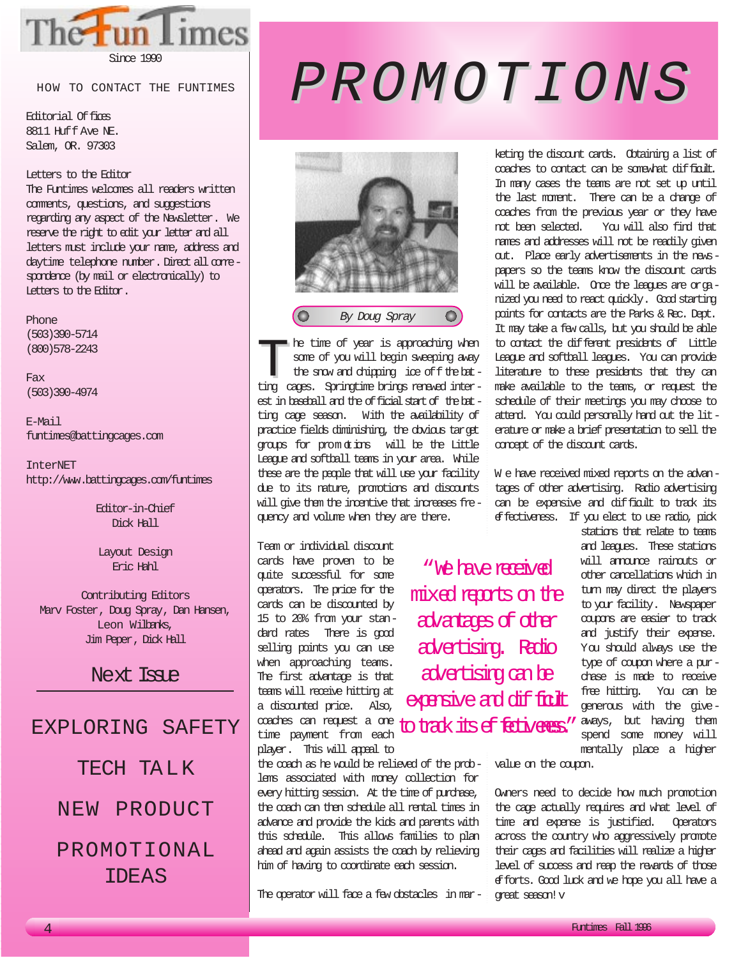

Since 1990

HOW TO CONTACT THE FUNTIMES

Editorial Offices 8811 Huff Ave NE. Salem, OR. 97303

#### Letters to the Editor

The Funtimes welcomes all readers written comments, questions, and suggestions regarding any aspect of the Newsletter. We reserve the right to edit your letter and all letters must include your name, address and daytime telephone number. Direct all comespondence (by mail or electronically) to Letters to the Editor.

Phone (503)390-5714 (800)578-2243

Fax (503)390-4974

E-Mail funtimes@battingcages.com

InterNET http://www.battingcages.com/funtimes

> Editor-in-Chief Dick Hall

Layout Design Eric Hahl

Contributing Editors Marv Foster, Doug Spray, Dan Hansen, Leon Wilbanks, Jim Peper, Dick Hall

Next Tsap

#### EXPLORING SAFETY

TECH TA L K

#### NEW PRODUCT

#### PROMOTIONAL IDEAS

# PROMOTIONS PROMOTIONS



he time of year is approaching when some of you will begin sweeping away the snow and chipping ice of fthe batting cages. Springtime brings renewed interest in baseball and the official start of the batting cage season. With the availability of practice fields diminishing, the obvious target groups for prom otions will be the Little League and softball teams in your area. While these are the people that will use your facility due to its nature, promotions and discounts will give them the incentive that increases frequency and volume when they are there.

Team or individual discount cards have proven to be quite successful for some operators. The price for the cards can be discounted by 15 to 20% from your standard rates There is good selling points you can use when approaching teams. The first advantage is that teams will receive hitting at a discounted price. Also, coaches can request a one time payment from each player. This will appeal to

the coach as he would be relieved of the problems associated with money collection for every hitting session. At the time of purchase, the coach can then schedule all rental times in advance and provide the kids and parents with this schedule. This allows families to plan ahead and again assists the coach by relieving him of having to coordinate each session.

The operator will face a few obstacles in mar-

keting the discount cards. Obtaining a list of coaches to contact can be somewhat difficult. In many cases the teams are not set up until the last moment. There can be a change of coaches from the previous year or they have not been selected. You will also find that names and addresses will not be readily given out. Place early advertisements in the newspapers so the teams know the discount cards will be available. Once the leagues are organized you need to react quickly. Good starting points for contacts are the Parks & Rec. Dept. It may take a few calls, but you should be able to contact the different presidents of Little League and softball leagues. You can provide literature to these presidents that they can make available to the teams, or request the schedule of their meetings you may choose to attend. You could personally hand out the literature or make a brief presentation to sell the correct of the discount cards.

W e have received mixed reports on the advantages of other advertising. Radio advertising can be expensive and difficult to track its effectiveness. If you elect to use radio, pick

to track its effectiveness." aways, but having them "We have received mixed reports on the advantages of other advertising. Radio advertising can be exensive and difficult

stations that relate to teams and leagues. These stations will announce rainouts or other cancellations which in turn may direct the players to your facility. Newspaper coupons are easier to track and justify their expense. You should always use the type of coupon where a purchase is made to receive free hitting. You can be generous with the givespend some money will mentally place a higher

value on the coupon.

Owners need to decide how much promotion the cage actually requires and what level of time and expense is justified. Operators across the country who aggressively promote their cages and facilities will realize a higher level of success and reap the rewards of those efforts. Good luck and we hope you all have a great season!v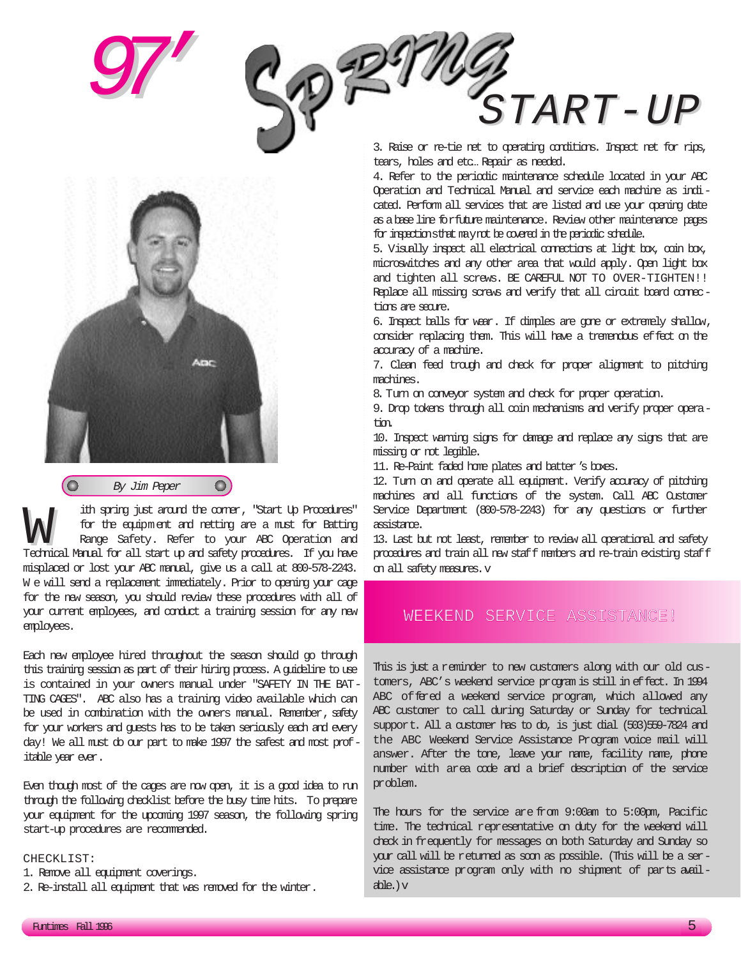



ith spring just around the corner, "Start Up Procedures"<br>for the equipment and netting are a must for Batting<br>Range Safety. Refer to your ABC Operation and<br>Technical Manual for all start up and safety procedures. If you ha for the equipment and netting are a must for Batting Range Safety. Refer to your ABC Operation and Technical Manual for all start up and safety procedures. If you have misplaced or lost your ABC manual, give us a call at 800-578-2243. We will send a replacement immediately. Prior to opening your cage for the new season, you should review these procedures with all of your current employees, and conduct a training session for any new employees.

Each new employee hired throughout the season should go through this training session as part of their hiring process. A guideline to use is contained in your owners manual under "SAFETY IN THE BAT-TING CAGES". ABC also has a training video available which can be used in combination with the owners manual. Remember, safety for your workers and guests has to be taken seriously each and every day! We all must do our part to make 1997 the safest and most profitable year ever.

Even though most of the cages are now open, it is a good idea to run through the following checklist before the busy time hits. To prepare your equipment for the upcoming 1997 season, the following spring start-up procedures are recommended.

#### CHECKLIST:

- 1. Remove all equipment coverings.
- 2. Re-install all equipment that was removed for the winter.

# $\footnotesize{\texttt{START-UP}}$

3. Raise or re-tie net to operating conditions. Inspect net for rips, tears, holes and etc… Repair as needed.

4. Refer to the periodic maintenance schedule located in your ABC Operation and Technical Manual and service each machine as indicated. Perform all services that are listed and use your opening date as a base line forfuture maintenance. Review other maintenance pages for inspections that may not be covered in the periodic schedule.

5. Visually inspect all electrical connections at light box, coin box, microswitches and any other area that would apply. Open light box and tighten all screws. BE CAREFUL NOT TO OVER-TIGHTEN!! Replace all missing screws and verify that all circuit board connections are secure.

6. Inspect balls for wear. If dimples are gone or extremely shallow, consider replacing them. This will have a tremendous effect on the accuracy of a machine.

7. Clean feed trough and dheck for proper alignment to pitching machines.

8. Turn on conveyor system and check for proper operation.

9. Drop tokens through all coin mechanisms and verify proper operation.

10. Inspect warning signs for damage and replace any signs that are missing or not legible.

11. Re-Paint faded home plates and batter's boxes.

12. Turn on and operate all equipment. Verify accuracy of pitching machines and all functions of the system. Call ABC Customer Service Department (800-578-2243) for any questions or further assistance.

13. Last but not least, remember to review all operational and safety procedures and train all new staff members and re-train existing staff on all safety measures.v

#### WEEKEND SERVICE ASSISTANCE!

This is just a reminder to new customers along with our old customers, ABC's weekend service program is still in effect. In 1994 ABC offered a weekend service program, which allowed any ABC customer to call during Saturday or Sunday for technical support. All a customer has to do, is just dial (503)559-7824 and the ABC Weekend Service Assistance Program voice mail will answer. After the tone, leave your name, facility name, phone number with area code and a brief description of the service problem.

The hours for the service are from 9:00am to 5:00pm, Pacific time. The technical representative on duty for the weekend will check in frequently for messages on both Saturday and Sunday so your call will be returned as soon as possible. (This will be a service assistance program only with no shipment of parts available.)v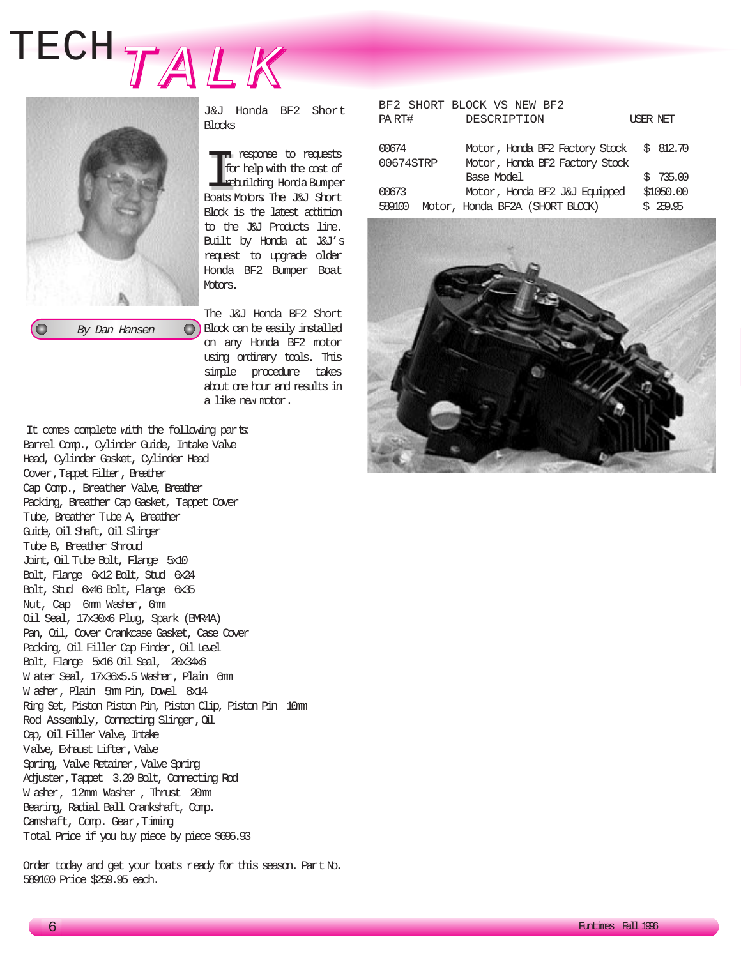# TECHTALK



J&J Honda BF2 Short Blocks

In response to requests<br>
I for help with the cost of<br> **Exploring Horda Bunper**<br>
Boats Motors. The J&J Short n response to requests for help with the cost of rebuilding Honda Bumper Block is the latest addition to the J&J Products line. Built by Honda at J&J's request to upgrade older Honda BF2 Bumper Boat Motors.

The J&J Honda BF2 Short **Block can be easily installed** on any Honda BF2 motor using ordinary tools. This simple procedure takes about one hour and results in a like new motor.

|           |  | BF2 SHORT BLOCK VS NEW BF2      |           |
|-----------|--|---------------------------------|-----------|
| PART#     |  | DESCRIPTION                     | USER NET  |
|           |  |                                 |           |
| 00674     |  | Motor, Honda BF2 Factory Stock  | \$812.70  |
| 00674STRP |  | Motor, Honda BF2 Factory Stock  |           |
|           |  | Base Model                      | \$735.00  |
| 00673     |  | Motor, Honda BF2 J&J Equipped   | \$1050.00 |
| 589100    |  | Motor, Honda BF2A (SHORT BLOCK) | 259.95    |



It comes complete with the following parts: Barrel Comp., Cylinder Guide, Intake Valve Head, Cylinder Gasket, Cylinder Head Cover,Tappet Filter, Breather Cap Comp., Breather Valve, Breather Packing, Breather Cap Gasket, Tappet Cover Tube, Breather Tube A, Breather Guide, Oil Shaft, Oil Slinger Tube B, Breather Shroud Joint, Oil Tube Bolt, Flange 5x10 Bolt, Flange 6x12 Bolt, Stud 6x24 Bolt, Stud 6x46 Bolt, Flange 6x35 Nut, Cap 6mm Washer, 6mm Oil Seal, 17x30x6 Plug, Spark (BMR4A) Pan, Oil, Cover Crankcase Gasket, Case Cover Packing, Oil Filler Cap Finder, Oil Level Bolt, Flange 5x16 Oil Seal, 20x34x6 W ater Seal, 17x36x5.5 Washer, Plain 6mm W asher, Plain 5mm Pin, Dowel 8x14 Ring Set, Piston Piston Pin, Piston Clip, Piston Pin 10mm Rod Assembly, Cornecting Slinger, Oil Cap, Oil Filler Valve, Intake Valve, Exhaust Lifter,Valve Spring, Valve Retainer, Valve Spring Adjuster,Tappet 3.20 Bolt, Connecting Rod W asher, 12mm Washer , Thrust 20mm Bearing, Radial Ball Crankshaft, Comp. Camshaft, Comp. Gear,Timing Total Price if you buy piece by piece \$696.93

Order today and get your boats ready for this season. Part No. 589100 Price \$259.95 each.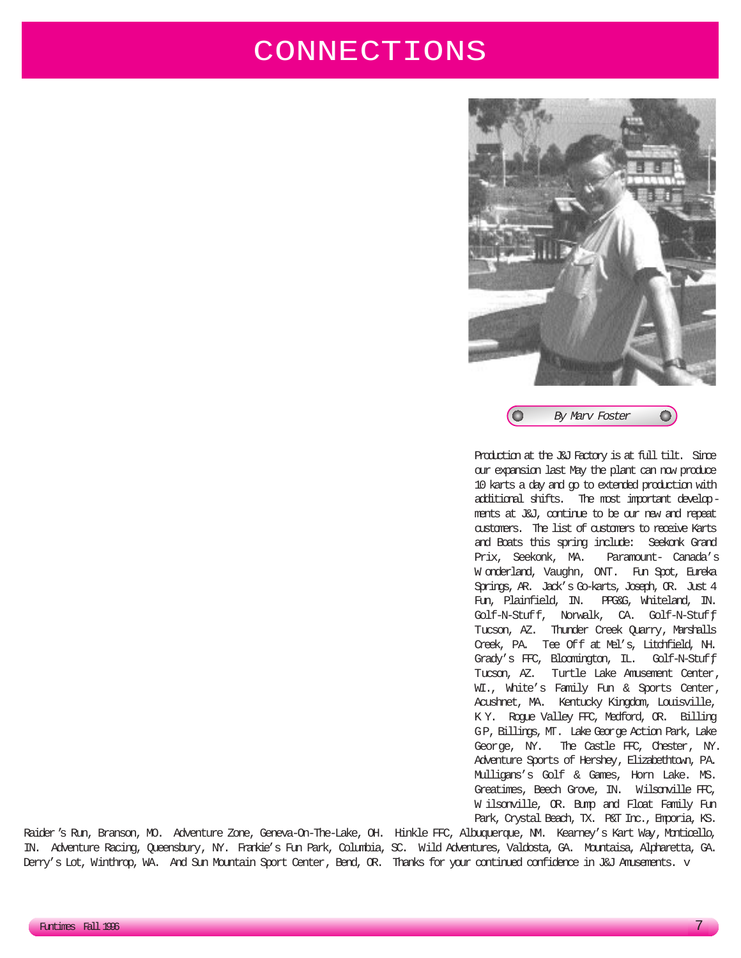### CONNECTIONS



Production at the J&J Factory is at full tilt. Since our expansion last May the plant can now produce 10 karts a day and go to extended production with additional shifts. The most important developments at J&J, continue to be our new and repeat customers. The list of customers to receive Karts and Boats this spring include: Seekonk Grand Prix, Seekonk, MA. Paramount- Canada's W onderland, Vaughn, ONT. Fun Spot, Eureka Springs, AR. Jack's Go-karts, Joseph, OR. Just 4 Fun, Plainfield, IN. PPG&G, Whiteland, IN. Golf-N-Stuff, Norwalk, CA. Golf-N-Stuff, Tucson, AZ. Thunder Creek Quarry, Marshalls Creek, PA. Tee Off at Mel's, Litchfield, NH. Grady's FFC, Bloomington, IL. Golf-N-Stuff, Tucson, AZ. Turtle Lake Amusement Center, WI., White's Family Fun & Sports Center, Acushnet, MA. Kentucky Kingdom, Louisville, K Y. Rogue Valley FFC, Medford, OR. Billing GP, Billings, MT. Lake George Action Park, Lake George, NY. The Castle FFC, Chester, NY. Adventure Sports of Hershey, Elizabethtown, PA. Mulligans's Golf & Games, Horn Lake. MS. Greatimes, Beech Grove, IN. Wilsonville FFC, W ilsonville, OR. Bump and Float Family Fun Park, Crystal Beach, TX. P&T Inc., Emporia, KS.

Raider's Run, Branson, MO. Adventure Zone, Geneva-On-The-Lake, OH. Hinkle FFC, Albuquerque, NM. Kearney's Kart Way, Monticello, IN. Adventure Racing, Queensbury, NY. Frankie's Fun Park, Columbia, SC. Wild Adventures, Valdosta, GA. Mountaisa, Alpharetta, GA. Derry's Lot, Winthrop, WA. And Sun Mountain Sport Center, Bend, OR. Thanks for your continued confidence in J&J Amusements. v